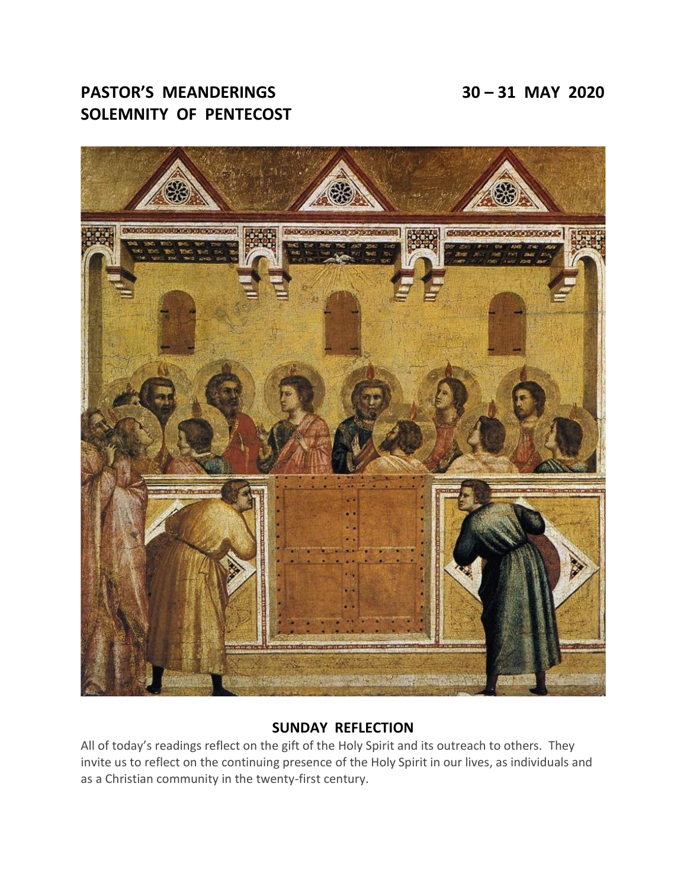# **PASTOR'S MEANDERINGS 30 – 31 MAY 2020 SOLEMNITY OF PENTECOST**



## **SUNDAY REFLECTION**

All of today's readings reflect on the gift of the Holy Spirit and its outreach to others. They invite us to reflect on the continuing presence of the Holy Spirit in our lives, as individuals and as a Christian community in the twenty-first century.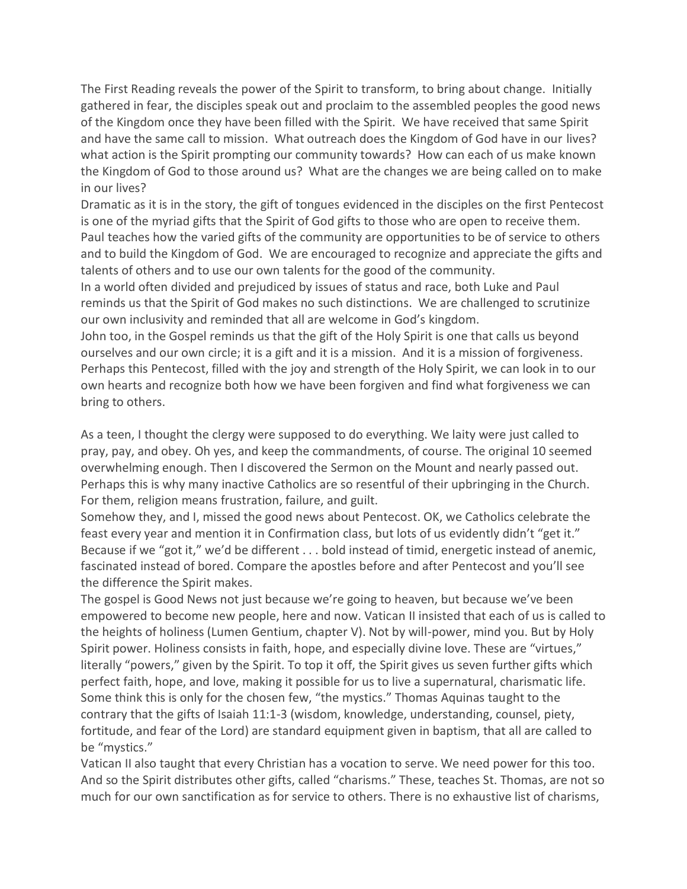The First Reading reveals the power of the Spirit to transform, to bring about change. Initially gathered in fear, the disciples speak out and proclaim to the assembled peoples the good news of the Kingdom once they have been filled with the Spirit. We have received that same Spirit and have the same call to mission. What outreach does the Kingdom of God have in our lives? what action is the Spirit prompting our community towards? How can each of us make known the Kingdom of God to those around us? What are the changes we are being called on to make in our lives?

Dramatic as it is in the story, the gift of tongues evidenced in the disciples on the first Pentecost is one of the myriad gifts that the Spirit of God gifts to those who are open to receive them. Paul teaches how the varied gifts of the community are opportunities to be of service to others and to build the Kingdom of God. We are encouraged to recognize and appreciate the gifts and talents of others and to use our own talents for the good of the community.

In a world often divided and prejudiced by issues of status and race, both Luke and Paul reminds us that the Spirit of God makes no such distinctions. We are challenged to scrutinize our own inclusivity and reminded that all are welcome in God's kingdom.

John too, in the Gospel reminds us that the gift of the Holy Spirit is one that calls us beyond ourselves and our own circle; it is a gift and it is a mission. And it is a mission of forgiveness. Perhaps this Pentecost, filled with the joy and strength of the Holy Spirit, we can look in to our own hearts and recognize both how we have been forgiven and find what forgiveness we can bring to others.

As a teen, I thought the clergy were supposed to do everything. We laity were just called to pray, pay, and obey. Oh yes, and keep the commandments, of course. The original 10 seemed overwhelming enough. Then I discovered the Sermon on the Mount and nearly passed out. Perhaps this is why many inactive Catholics are so resentful of their upbringing in the Church. For them, religion means frustration, failure, and guilt.

Somehow they, and I, missed the good news about Pentecost. OK, we Catholics celebrate the feast every year and mention it in Confirmation class, but lots of us evidently didn't "get it." Because if we "got it," we'd be different . . . bold instead of timid, energetic instead of anemic, fascinated instead of bored. Compare the apostles before and after Pentecost and you'll see the difference the Spirit makes.

The gospel is Good News not just because we're going to heaven, but because we've been empowered to become new people, here and now. Vatican II insisted that each of us is called to the heights of holiness (Lumen Gentium, chapter V). Not by will-power, mind you. But by Holy Spirit power. Holiness consists in faith, hope, and especially divine love. These are "virtues," literally "powers," given by the Spirit. To top it off, the Spirit gives us seven further gifts which perfect faith, hope, and love, making it possible for us to live a supernatural, charismatic life. Some think this is only for the chosen few, "the mystics." Thomas Aquinas taught to the contrary that the gifts of Isaiah 11:1-3 (wisdom, knowledge, understanding, counsel, piety, fortitude, and fear of the Lord) are standard equipment given in baptism, that all are called to be "mystics."

Vatican II also taught that every Christian has a vocation to serve. We need power for this too. And so the Spirit distributes other gifts, called "charisms." These, teaches St. Thomas, are not so much for our own sanctification as for service to others. There is no exhaustive list of charisms,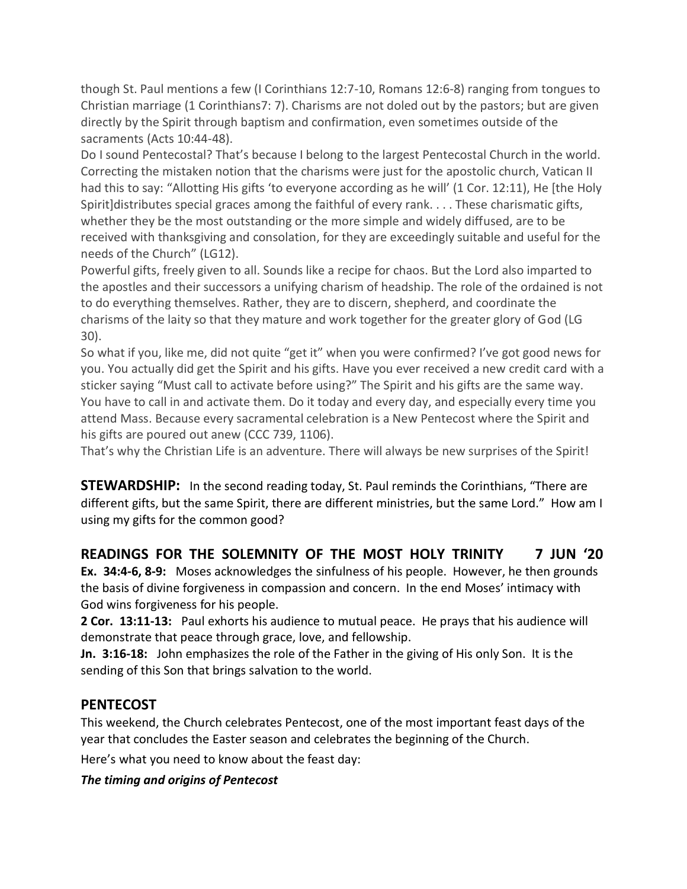though St. Paul mentions a few (I Corinthians 12:7-10, Romans 12:6-8) ranging from tongues to Christian marriage (1 Corinthians7: 7). Charisms are not doled out by the pastors; but are given directly by the Spirit through baptism and confirmation, even sometimes outside of the sacraments (Acts 10:44-48).

Do I sound Pentecostal? That's because I belong to the largest Pentecostal Church in the world. Correcting the mistaken notion that the charisms were just for the apostolic church, Vatican II had this to say: "Allotting His gifts 'to everyone according as he will' (1 Cor. 12:11), He [the Holy Spirit]distributes special graces among the faithful of every rank. . . . These charismatic gifts, whether they be the most outstanding or the more simple and widely diffused, are to be received with thanksgiving and consolation, for they are exceedingly suitable and useful for the needs of the Church" (LG12).

Powerful gifts, freely given to all. Sounds like a recipe for chaos. But the Lord also imparted to the apostles and their successors a unifying charism of headship. The role of the ordained is not to do everything themselves. Rather, they are to discern, shepherd, and coordinate the charisms of the laity so that they mature and work together for the greater glory of God (LG 30).

So what if you, like me, did not quite "get it" when you were confirmed? I've got good news for you. You actually did get the Spirit and his gifts. Have you ever received a new credit card with a sticker saying "Must call to activate before using?" The Spirit and his gifts are the same way. You have to call in and activate them. Do it today and every day, and especially every time you attend Mass. Because every sacramental celebration is a New Pentecost where the Spirit and his gifts are poured out anew (CCC 739, 1106).

That's why the Christian Life is an adventure. There will always be new surprises of the Spirit!

**STEWARDSHIP:** In the second reading today, St. Paul reminds the Corinthians, "There are different gifts, but the same Spirit, there are different ministries, but the same Lord." How am I using my gifts for the common good?

# **READINGS FOR THE SOLEMNITY OF THE MOST HOLY TRINITY 7 JUN '20**

**Ex. 34:4-6, 8-9:** Moses acknowledges the sinfulness of his people. However, he then grounds the basis of divine forgiveness in compassion and concern. In the end Moses' intimacy with God wins forgiveness for his people.

**2 Cor. 13:11-13:** Paul exhorts his audience to mutual peace. He prays that his audience will demonstrate that peace through grace, love, and fellowship.

**Jn. 3:16-18:** John emphasizes the role of the Father in the giving of His only Son. It is the sending of this Son that brings salvation to the world.

## **PENTECOST**

This weekend, the Church celebrates Pentecost, one of the most important feast days of the year that concludes the Easter season and celebrates the beginning of the Church.

Here's what you need to know about the feast day:

#### *The timing and origins of Pentecost*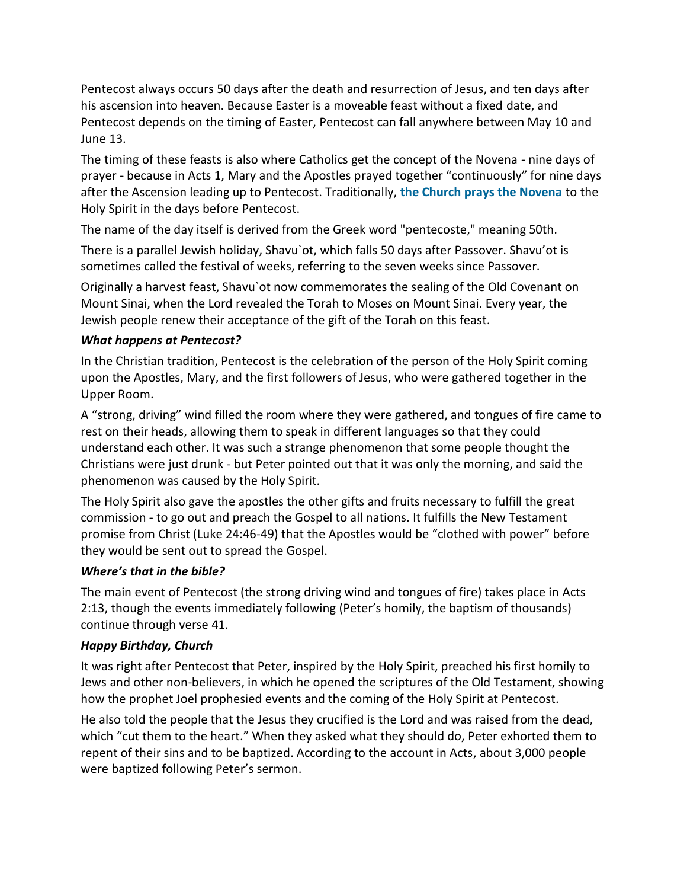Pentecost always occurs 50 days after the death and resurrection of Jesus, and ten days after his ascension into heaven. Because Easter is a moveable feast without a fixed date, and Pentecost depends on the timing of Easter, Pentecost can fall anywhere between May 10 and June 13.

The timing of these feasts is also where Catholics get the concept of the Novena - nine days of prayer - because in Acts 1, Mary and the Apostles prayed together "continuously" for nine days after the Ascension leading up to Pentecost. Traditionally, **[the Church prays the Novena](https://www.ewtn.com/devotionals/pentecost/seven.htm)** to the Holy Spirit in the days before Pentecost.

The name of the day itself is derived from the Greek word "pentecoste," meaning 50th.

There is a parallel Jewish holiday, Shavu`ot, which falls 50 days after Passover. Shavu'ot is sometimes called the festival of weeks, referring to the seven weeks since Passover.

Originally a harvest feast, Shavu`ot now commemorates the sealing of the Old Covenant on Mount Sinai, when the Lord revealed the Torah to Moses on Mount Sinai. Every year, the Jewish people renew their acceptance of the gift of the Torah on this feast.

### *What happens at Pentecost?*

In the Christian tradition, Pentecost is the celebration of the person of the Holy Spirit coming upon the Apostles, Mary, and the first followers of Jesus, who were gathered together in the Upper Room.

A "strong, driving" wind filled the room where they were gathered, and tongues of fire came to rest on their heads, allowing them to speak in different languages so that they could understand each other. It was such a strange phenomenon that some people thought the Christians were just drunk - but Peter pointed out that it was only the morning, and said the phenomenon was caused by the Holy Spirit.

The Holy Spirit also gave the apostles the other gifts and fruits necessary to fulfill the great commission - to go out and preach the Gospel to all nations. It fulfills the New Testament promise from Christ (Luke 24:46-49) that the Apostles would be "clothed with power" before they would be sent out to spread the Gospel.

## *Where's that in the bible?*

The main event of Pentecost (the strong driving wind and tongues of fire) takes place in Acts 2:13, though the events immediately following (Peter's homily, the baptism of thousands) continue through verse 41.

## *Happy Birthday, Church*

It was right after Pentecost that Peter, inspired by the Holy Spirit, preached his first homily to Jews and other non-believers, in which he opened the scriptures of the Old Testament, showing how the prophet Joel prophesied events and the coming of the Holy Spirit at Pentecost.

He also told the people that the Jesus they crucified is the Lord and was raised from the dead, which "cut them to the heart." When they asked what they should do, Peter exhorted them to repent of their sins and to be baptized. According to the account in Acts, about 3,000 people were baptized following Peter's sermon.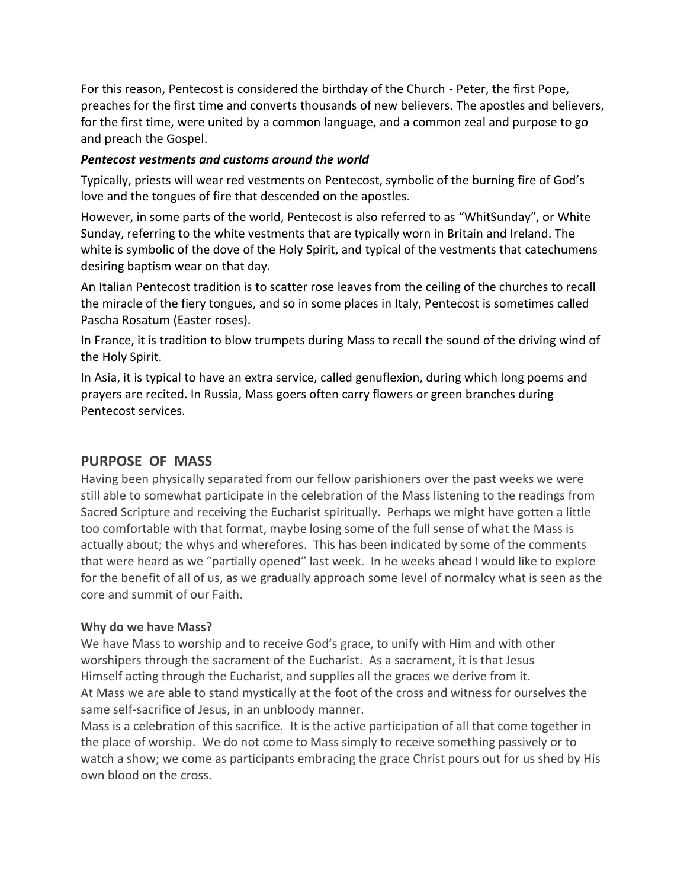For this reason, Pentecost is considered the birthday of the Church - Peter, the first Pope, preaches for the first time and converts thousands of new believers. The apostles and believers, for the first time, were united by a common language, and a common zeal and purpose to go and preach the Gospel.

#### *Pentecost vestments and customs around the world*

Typically, priests will wear red vestments on Pentecost, symbolic of the burning fire of God's love and the tongues of fire that descended on the apostles.

However, in some parts of the world, Pentecost is also referred to as "WhitSunday", or White Sunday, referring to the white vestments that are typically worn in Britain and Ireland. The white is symbolic of the dove of the Holy Spirit, and typical of the vestments that catechumens desiring baptism wear on that day.

An Italian Pentecost tradition is to scatter rose leaves from the ceiling of the churches to recall the miracle of the fiery tongues, and so in some places in Italy, Pentecost is sometimes called Pascha Rosatum (Easter roses).

In France, it is tradition to blow trumpets during Mass to recall the sound of the driving wind of the Holy Spirit.

In Asia, it is typical to have an extra service, called genuflexion, during which long poems and prayers are recited. In Russia, Mass goers often carry flowers or green branches during Pentecost services.

#### **PURPOSE OF MASS**

Having been physically separated from our fellow parishioners over the past weeks we were still able to somewhat participate in the celebration of the Mass listening to the readings from Sacred Scripture and receiving the Eucharist spiritually. Perhaps we might have gotten a little too comfortable with that format, maybe losing some of the full sense of what the Mass is actually about; the whys and wherefores. This has been indicated by some of the comments that were heard as we "partially opened" last week. In he weeks ahead I would like to explore for the benefit of all of us, as we gradually approach some level of normalcy what is seen as the core and summit of our Faith.

#### **Why do we have Mass?**

We have Mass to worship and to receive God's grace, to unify with Him and with other worshipers through the sacrament of the Eucharist. As a sacrament, it is that Jesus Himself acting through the Eucharist, and supplies all the graces we derive from it. At Mass we are able to stand mystically at the foot of the cross and witness for ourselves the same self-sacrifice of Jesus, in an unbloody manner.

Mass is a celebration of this sacrifice. It is the active participation of all that come together in the place of worship. We do not come to Mass simply to receive something passively or to watch a show; we come as participants embracing the grace Christ pours out for us shed by His own blood on the cross.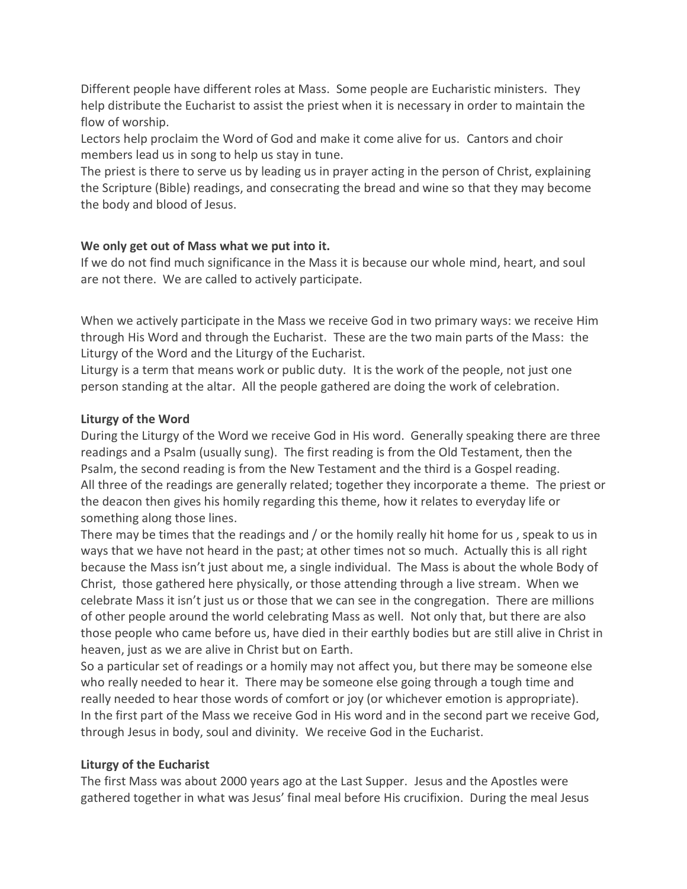Different people have different roles at Mass. Some people are Eucharistic ministers. They help distribute the Eucharist to assist the priest when it is necessary in order to maintain the flow of worship.

Lectors help proclaim the Word of God and make it come alive for us. Cantors and choir members lead us in song to help us stay in tune.

The priest is there to serve us by leading us in prayer acting in the person of Christ, explaining the Scripture (Bible) readings, and consecrating the bread and wine so that they may become the body and blood of Jesus.

#### **We only get out of Mass what we put into it.**

If we do not find much significance in the Mass it is because our whole mind, heart, and soul are not there. We are called to actively participate.

When we actively participate in the Mass we receive God in two primary ways: we receive Him through His Word and through the Eucharist. These are the two main parts of the Mass: the Liturgy of the Word and the Liturgy of the Eucharist.

Liturgy is a term that means work or public duty. It is the work of the people, not just one person standing at the altar. All the people gathered are doing the work of celebration.

### **Liturgy of the Word**

During the Liturgy of the Word we receive God in His word. Generally speaking there are three readings and a Psalm (usually sung). The first reading is from the Old Testament, then the Psalm, the second reading is from the New Testament and the third is a Gospel reading. All three of the readings are generally related; together they incorporate a theme. The priest or the deacon then gives his homily regarding this theme, how it relates to everyday life or something along those lines.

There may be times that the readings and / or the homily really hit home for us , speak to us in ways that we have not heard in the past; at other times not so much. Actually this is all right because the Mass isn't just about me, a single individual. The Mass is about the whole Body of Christ, those gathered here physically, or those attending through a live stream. When we celebrate Mass it isn't just us or those that we can see in the congregation. There are millions of other people around the world celebrating Mass as well. Not only that, but there are also those people who came before us, have died in their earthly bodies but are still alive in Christ in heaven, just as we are alive in Christ but on Earth.

So a particular set of readings or a homily may not affect you, but there may be someone else who really needed to hear it. There may be someone else going through a tough time and really needed to hear those words of comfort or joy (or whichever emotion is appropriate). In the first part of the Mass we receive God in His word and in the second part we receive God, through Jesus in body, soul and divinity. We receive God in the Eucharist.

## **Liturgy of the Eucharist**

The first Mass was about 2000 years ago at the Last Supper. Jesus and the Apostles were gathered together in what was Jesus' final meal before His crucifixion. During the meal Jesus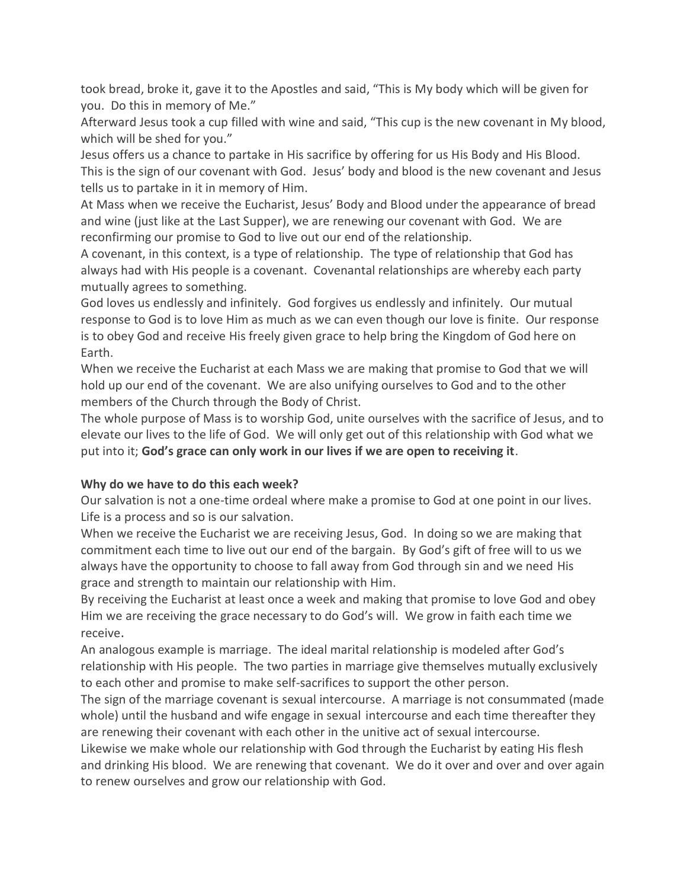took bread, broke it, gave it to the Apostles and said, "This is My body which will be given for you. Do this in memory of Me."

Afterward Jesus took a cup filled with wine and said, "This cup is the new covenant in My blood, which will be shed for you."

Jesus offers us a chance to partake in His sacrifice by offering for us His Body and His Blood. This is the sign of our covenant with God. Jesus' body and blood is the new covenant and Jesus tells us to partake in it in memory of Him.

At Mass when we receive the Eucharist, Jesus' Body and Blood under the appearance of bread and wine (just like at the Last Supper), we are renewing our covenant with God. We are reconfirming our promise to God to live out our end of the relationship.

A covenant, in this context, is a type of relationship. The type of relationship that God has always had with His people is a covenant. Covenantal relationships are whereby each party mutually agrees to something.

God loves us endlessly and infinitely. God forgives us endlessly and infinitely. Our mutual response to God is to love Him as much as we can even though our love is finite. Our response is to obey God and receive His freely given grace to help bring the Kingdom of God here on Earth.

When we receive the Eucharist at each Mass we are making that promise to God that we will hold up our end of the covenant. We are also unifying ourselves to God and to the other members of the Church through the Body of Christ.

The whole purpose of Mass is to worship God, unite ourselves with the sacrifice of Jesus, and to elevate our lives to the life of God. We will only get out of this relationship with God what we put into it; **God's grace can only work in our lives if we are open to receiving it**.

## **Why do we have to do this each week?**

Our salvation is not a one-time ordeal where make a promise to God at one point in our lives. Life is a process and so is our salvation.

When we receive the Eucharist we are receiving Jesus, God. In doing so we are making that commitment each time to live out our end of the bargain. By God's gift of free will to us we always have the opportunity to choose to fall away from God through sin and we need His grace and strength to maintain our relationship with Him.

By receiving the Eucharist at least once a week and making that promise to love God and obey Him we are receiving the grace necessary to do God's will. We grow in faith each time we receive.

An analogous example is marriage. The ideal marital relationship is modeled after God's relationship with His people. The two parties in marriage give themselves mutually exclusively to each other and promise to make self-sacrifices to support the other person.

The sign of the marriage covenant is sexual intercourse. A marriage is not consummated (made whole) until the husband and wife engage in sexual intercourse and each time thereafter they are renewing their covenant with each other in the unitive act of sexual intercourse.

Likewise we make whole our relationship with God through the Eucharist by eating His flesh and drinking His blood. We are renewing that covenant. We do it over and over and over again to renew ourselves and grow our relationship with God.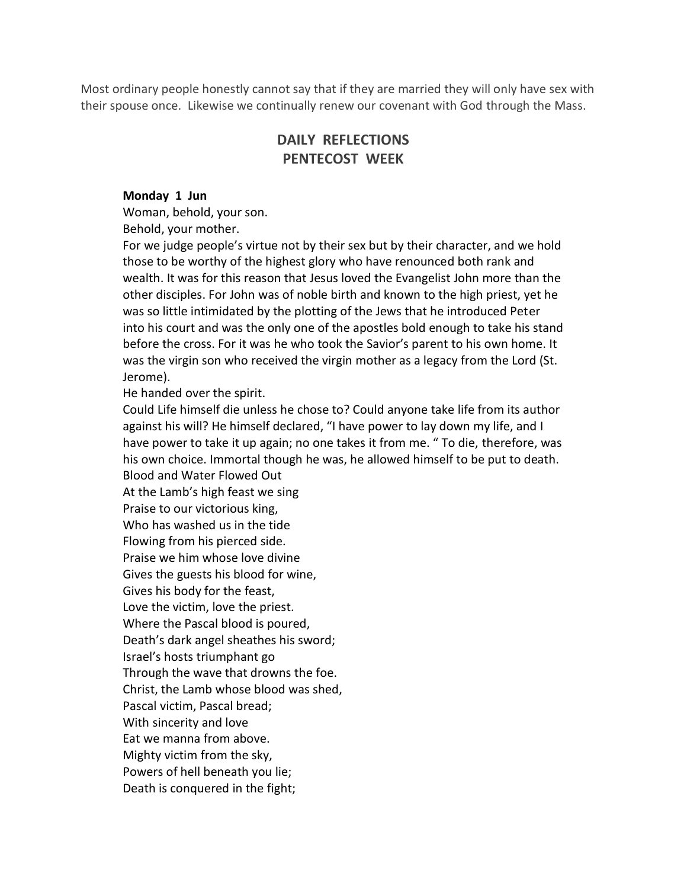Most ordinary people honestly cannot say that if they are married they will only have sex with their spouse once. Likewise we continually renew our covenant with God through the Mass.

## **DAILY REFLECTIONS PENTECOST WEEK**

#### **Monday 1 Jun**

Woman, behold, your son.

Behold, your mother.

For we judge people's virtue not by their sex but by their character, and we hold those to be worthy of the highest glory who have renounced both rank and wealth. It was for this reason that Jesus loved the Evangelist John more than the other disciples. For John was of noble birth and known to the high priest, yet he was so little intimidated by the plotting of the Jews that he introduced Peter into his court and was the only one of the apostles bold enough to take his stand before the cross. For it was he who took the Savior's parent to his own home. It was the virgin son who received the virgin mother as a legacy from the Lord (St. Jerome).

He handed over the spirit.

Could Life himself die unless he chose to? Could anyone take life from its author against his will? He himself declared, "I have power to lay down my life, and I have power to take it up again; no one takes it from me. " To die, therefore, was his own choice. Immortal though he was, he allowed himself to be put to death. Blood and Water Flowed Out

At the Lamb's high feast we sing

Praise to our victorious king,

Who has washed us in the tide

Flowing from his pierced side. Praise we him whose love divine

Gives the guests his blood for wine,

Gives his body for the feast,

Love the victim, love the priest.

Where the Pascal blood is poured,

Death's dark angel sheathes his sword;

Israel's hosts triumphant go

Through the wave that drowns the foe.

Christ, the Lamb whose blood was shed,

Pascal victim, Pascal bread;

With sincerity and love

Eat we manna from above.

Mighty victim from the sky,

Powers of hell beneath you lie;

Death is conquered in the fight;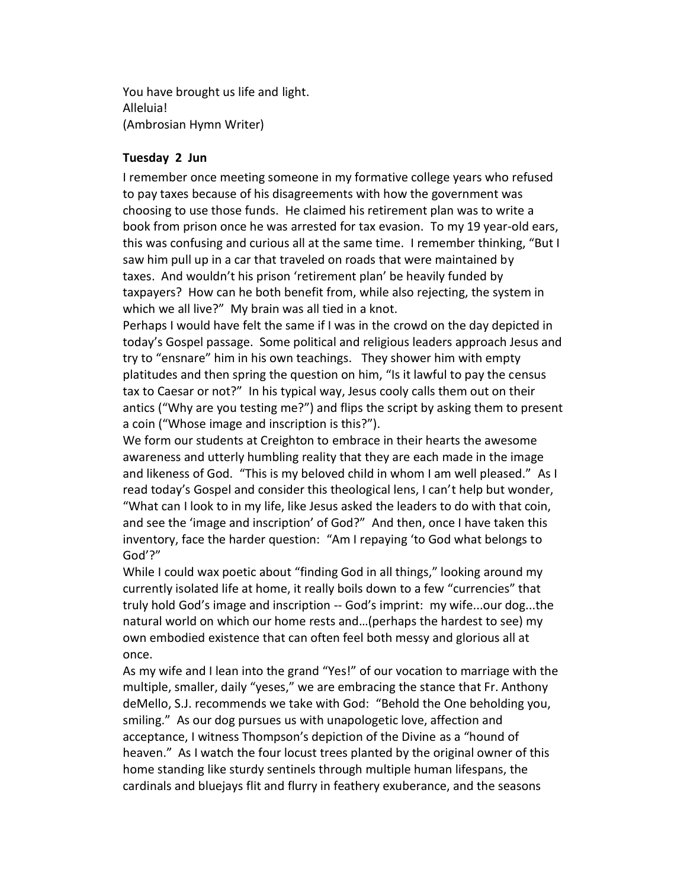You have brought us life and light. Alleluia! (Ambrosian Hymn Writer)

#### **Tuesday 2 Jun**

I remember once meeting someone in my formative college years who refused to pay taxes because of his disagreements with how the government was choosing to use those funds. He claimed his retirement plan was to write a book from prison once he was arrested for tax evasion. To my 19 year-old ears, this was confusing and curious all at the same time. I remember thinking, "But I saw him pull up in a car that traveled on roads that were maintained by taxes. And wouldn't his prison 'retirement plan' be heavily funded by taxpayers? How can he both benefit from, while also rejecting, the system in which we all live?" My brain was all tied in a knot.

Perhaps I would have felt the same if I was in the crowd on the day depicted in today's Gospel passage. Some political and religious leaders approach Jesus and try to "ensnare" him in his own teachings. They shower him with empty platitudes and then spring the question on him, "Is it lawful to pay the census tax to Caesar or not?" In his typical way, Jesus cooly calls them out on their antics ("Why are you testing me?") and flips the script by asking them to present a coin ("Whose image and inscription is this?").

We form our students at Creighton to embrace in their hearts the awesome awareness and utterly humbling reality that they are each made in the image and likeness of God. "This is my beloved child in whom I am well pleased." As I read today's Gospel and consider this theological lens, I can't help but wonder, "What can I look to in my life, like Jesus asked the leaders to do with that coin, and see the 'image and inscription' of God?" And then, once I have taken this inventory, face the harder question: "Am I repaying 'to God what belongs to God'?"

While I could wax poetic about "finding God in all things," looking around my currently isolated life at home, it really boils down to a few "currencies" that truly hold God's image and inscription -- God's imprint: my wife...our dog...the natural world on which our home rests and…(perhaps the hardest to see) my own embodied existence that can often feel both messy and glorious all at once.

As my wife and I lean into the grand "Yes!" of our vocation to marriage with the multiple, smaller, daily "yeses," we are embracing the stance that Fr. Anthony deMello, S.J. recommends we take with God: "Behold the One beholding you, smiling." As our dog pursues us with unapologetic love, affection and acceptance, I witness Thompson's depiction of the Divine as a "hound of heaven." As I watch the four locust trees planted by the original owner of this home standing like sturdy sentinels through multiple human lifespans, the cardinals and bluejays flit and flurry in feathery exuberance, and the seasons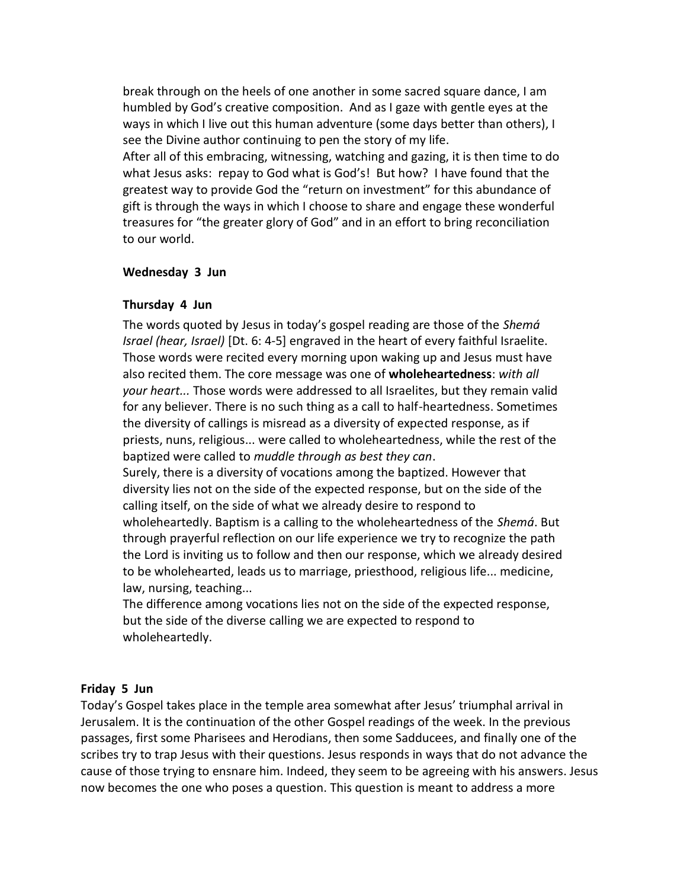break through on the heels of one another in some sacred square dance, I am humbled by God's creative composition. And as I gaze with gentle eyes at the ways in which I live out this human adventure (some days better than others), I see the Divine author continuing to pen the story of my life.

After all of this embracing, witnessing, watching and gazing, it is then time to do what Jesus asks: repay to God what is God's! But how? I have found that the greatest way to provide God the "return on investment" for this abundance of gift is through the ways in which I choose to share and engage these wonderful treasures for "the greater glory of God" and in an effort to bring reconciliation to our world.

#### **Wednesday 3 Jun**

#### **Thursday 4 Jun**

The words quoted by Jesus in today's gospel reading are those of the *Shemá Israel (hear, Israel)* [Dt. 6: 4-5] engraved in the heart of every faithful Israelite. Those words were recited every morning upon waking up and Jesus must have also recited them. The core message was one of **wholeheartedness**: *with all your heart...* Those words were addressed to all Israelites, but they remain valid for any believer. There is no such thing as a call to half-heartedness. Sometimes the diversity of callings is misread as a diversity of expected response, as if priests, nuns, religious... were called to wholeheartedness, while the rest of the baptized were called to *muddle through as best they can*.

Surely, there is a diversity of vocations among the baptized. However that diversity lies not on the side of the expected response, but on the side of the calling itself, on the side of what we already desire to respond to wholeheartedly. Baptism is a calling to the wholeheartedness of the *Shemá*. But through prayerful reflection on our life experience we try to recognize the path the Lord is inviting us to follow and then our response, which we already desired to be wholehearted, leads us to marriage, priesthood, religious life... medicine, law, nursing, teaching...

The difference among vocations lies not on the side of the expected response, but the side of the diverse calling we are expected to respond to wholeheartedly.

#### **Friday 5 Jun**

Today's Gospel takes place in the temple area somewhat after Jesus' triumphal arrival in Jerusalem. It is the continuation of the other Gospel readings of the week. In the previous passages, first some Pharisees and Herodians, then some Sadducees, and finally one of the scribes try to trap Jesus with their questions. Jesus responds in ways that do not advance the cause of those trying to ensnare him. Indeed, they seem to be agreeing with his answers. Jesus now becomes the one who poses a question. This question is meant to address a more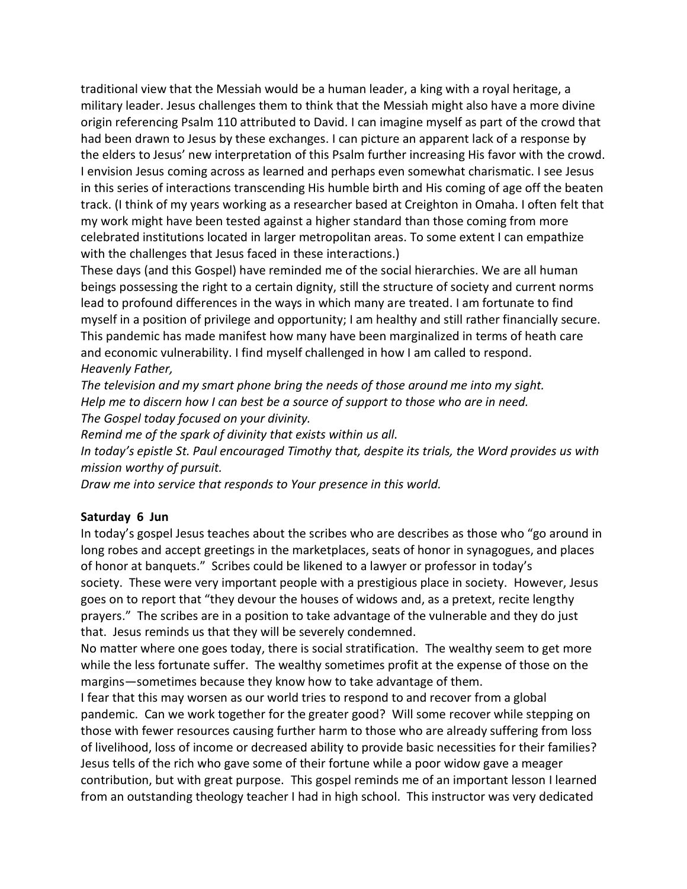traditional view that the Messiah would be a human leader, a king with a royal heritage, a military leader. Jesus challenges them to think that the Messiah might also have a more divine origin referencing Psalm 110 attributed to David. I can imagine myself as part of the crowd that had been drawn to Jesus by these exchanges. I can picture an apparent lack of a response by the elders to Jesus' new interpretation of this Psalm further increasing His favor with the crowd. I envision Jesus coming across as learned and perhaps even somewhat charismatic. I see Jesus in this series of interactions transcending His humble birth and His coming of age off the beaten track. (I think of my years working as a researcher based at Creighton in Omaha. I often felt that my work might have been tested against a higher standard than those coming from more celebrated institutions located in larger metropolitan areas. To some extent I can empathize with the challenges that Jesus faced in these interactions.)

These days (and this Gospel) have reminded me of the social hierarchies. We are all human beings possessing the right to a certain dignity, still the structure of society and current norms lead to profound differences in the ways in which many are treated. I am fortunate to find myself in a position of privilege and opportunity; I am healthy and still rather financially secure. This pandemic has made manifest how many have been marginalized in terms of heath care and economic vulnerability. I find myself challenged in how I am called to respond. *Heavenly Father,*

*The television and my smart phone bring the needs of those around me into my sight. Help me to discern how I can best be a source of support to those who are in need. The Gospel today focused on your divinity.*

*Remind me of the spark of divinity that exists within us all.*

*In today's epistle St. Paul encouraged Timothy that, despite its trials, the Word provides us with mission worthy of pursuit.*

*Draw me into service that responds to Your presence in this world.*

#### **Saturday 6 Jun**

In today's gospel Jesus teaches about the scribes who are describes as those who "go around in long robes and accept greetings in the marketplaces, seats of honor in synagogues, and places of honor at banquets." Scribes could be likened to a lawyer or professor in today's society. These were very important people with a prestigious place in society. However, Jesus goes on to report that "they devour the houses of widows and, as a pretext, recite lengthy prayers." The scribes are in a position to take advantage of the vulnerable and they do just that. Jesus reminds us that they will be severely condemned.

No matter where one goes today, there is social stratification. The wealthy seem to get more while the less fortunate suffer. The wealthy sometimes profit at the expense of those on the margins—sometimes because they know how to take advantage of them.

I fear that this may worsen as our world tries to respond to and recover from a global pandemic. Can we work together for the greater good? Will some recover while stepping on those with fewer resources causing further harm to those who are already suffering from loss of livelihood, loss of income or decreased ability to provide basic necessities for their families? Jesus tells of the rich who gave some of their fortune while a poor widow gave a meager contribution, but with great purpose. This gospel reminds me of an important lesson I learned from an outstanding theology teacher I had in high school. This instructor was very dedicated